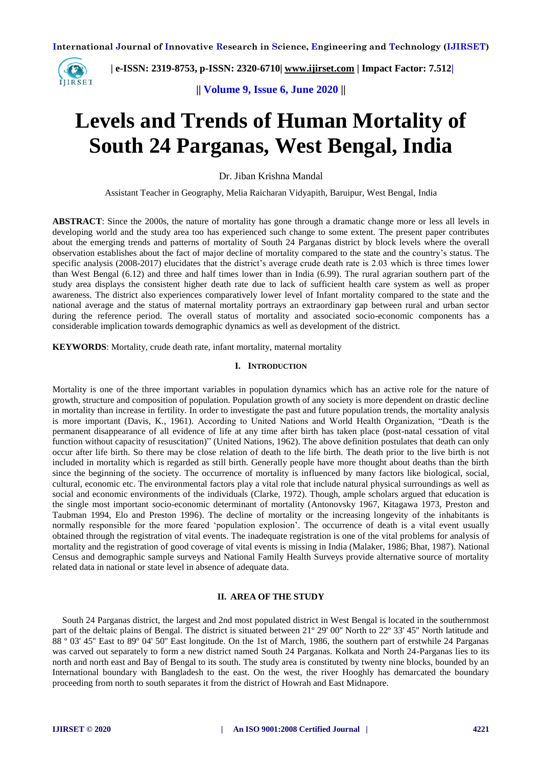

 **| e-ISSN: 2319-8753, p-ISSN: 2320-6710| [www.ijirset.com](http://www.ijirset.com/) | Impact Factor: 7.512|**

**|| Volume 9, Issue 6, June 2020 ||** 

# **Levels and Trends of Human Mortality of South 24 Parganas, West Bengal, India**

Dr. Jiban Krishna Mandal

Assistant Teacher in Geography, Melia Raicharan Vidyapith, Baruipur, West Bengal, India

**ABSTRACT**: Since the 2000s, the nature of mortality has gone through a dramatic change more or less all levels in developing world and the study area too has experienced such change to some extent. The present paper contributes about the emerging trends and patterns of mortality of South 24 Parganas district by block levels where the overall observation establishes about the fact of major decline of mortality compared to the state and the country's status. The specific analysis (2008-2017) elucidates that the district's average crude death rate is 2.03 which is three times lower than West Bengal (6.12) and three and half times lower than in India (6.99). The rural agrarian southern part of the study area displays the consistent higher death rate due to lack of sufficient health care system as well as proper awareness. The district also experiences comparatively lower level of Infant mortality compared to the state and the national average and the status of maternal mortality portrays an extraordinary gap between rural and urban sector during the reference period. The overall status of mortality and associated socio-economic components has a considerable implication towards demographic dynamics as well as development of the district.

**KEYWORDS**: Mortality, crude death rate, infant mortality, maternal mortality

# **I. INTRODUCTION**

Mortality is one of the three important variables in population dynamics which has an active role for the nature of growth, structure and composition of population. Population growth of any society is more dependent on drastic decline in mortality than increase in fertility. In order to investigate the past and future population trends, the mortality analysis is more important (Davis, K., 1961). According to United Nations and World Health Organization, "Death is the permanent disappearance of all evidence of life at any time after birth has taken place (post-natal cessation of vital function without capacity of resuscitation)" (United Nations, 1962). The above definition postulates that death can only occur after life birth. So there may be close relation of death to the life birth. The death prior to the live birth is not included in mortality which is regarded as still birth. Generally people have more thought about deaths than the birth since the beginning of the society. The occurrence of mortality is influenced by many factors like biological, social, cultural, economic etc. The environmental factors play a vital role that include natural physical surroundings as well as social and economic environments of the individuals (Clarke, 1972). Though, ample scholars argued that education is the single most important socio-economic determinant of mortality (Antonovsky 1967, Kitagawa 1973, Preston and Taubman 1994, Elo and Preston 1996). The decline of mortality or the increasing longevity of the inhabitants is normally responsible for the more feared 'population explosion'. The occurrence of death is a vital event usually obtained through the registration of vital events. The inadequate registration is one of the vital problems for analysis of mortality and the registration of good coverage of vital events is missing in India (Malaker, 1986; Bhat, 1987). National Census and demographic sample surveys and National Family Health Surveys provide alternative source of mortality related data in national or state level in absence of adequate data.

#### **II. AREA OF THE STUDY**

South 24 Parganas district, the largest and 2nd most populated district in West Bengal is located in the southernmost part of the deltaic plains of Bengal. The district is situated between 21º 29' 00'' North to 22º 33' 45'' North latitude and 88 º 03' 45'' East to 89º 04' 50'' East longitude. On the 1st of March, 1986, the southern part of erstwhile 24 Parganas was carved out separately to form a new district named South 24 Parganas. Kolkata and North 24-Parganas lies to its north and north east and Bay of Bengal to its south. The study area is constituted by twenty nine blocks, bounded by an International boundary with Bangladesh to the east. On the west, the river Hooghly has demarcated the boundary proceeding from north to south separates it from the district of Howrah and East Midnapore.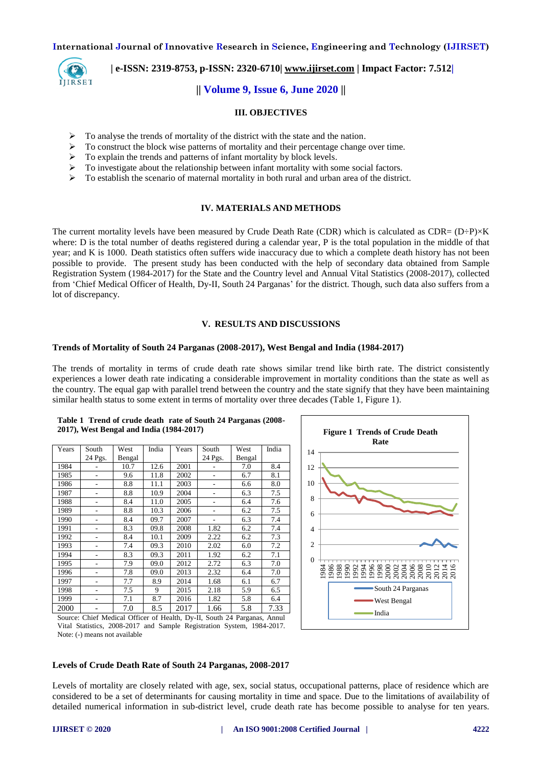

 **| e-ISSN: 2319-8753, p-ISSN: 2320-6710| [www.ijirset.com](http://www.ijirset.com/) | Impact Factor: 7.512|**

# **|| Volume 9, Issue 6, June 2020 ||**

#### **III. OBJECTIVES**

- $\triangleright$  To analyse the trends of mortality of the district with the state and the nation.
- $\triangleright$  To construct the block wise patterns of mortality and their percentage change over time.
- $\triangleright$  To explain the trends and patterns of infant mortality by block levels.
- $\triangleright$  To investigate about the relationship between infant mortality with some social factors.
- $\triangleright$  To establish the scenario of maternal mortality in both rural and urban area of the district.

# **IV. MATERIALS AND METHODS**

The current mortality levels have been measured by Crude Death Rate (CDR) which is calculated as  $CDR = (D \div P) \times K$ where: D is the total number of deaths registered during a calendar year, P is the total population in the middle of that year; and K is 1000. Death statistics often suffers wide inaccuracy due to which a complete death history has not been possible to provide. The present study has been conducted with the help of secondary data obtained from Sample Registration System (1984-2017) for the State and the Country level and Annual Vital Statistics (2008-2017), collected from 'Chief Medical Officer of Health, Dy-II, South 24 Parganas' for the district. Though, such data also suffers from a lot of discrepancy.

#### **V. RESULTS AND DISCUSSIONS**

#### **Trends of Mortality of South 24 Parganas (2008-2017), West Bengal and India (1984-2017)**

The trends of mortality in terms of crude death rate shows similar trend like birth rate. The district consistently experiences a lower death rate indicating a considerable improvement in mortality conditions than the state as well as the country. The equal gap with parallel trend between the country and the state signify that they have been maintaining similar health status to some extent in terms of mortality over three decades (Table 1, Figure 1).

| South<br>24 Pgs.<br>۰<br>٠ | West<br>Bengal<br>10.7<br>9.6 | India<br>12.6 | Years<br>2001 | South<br>24 Pgs. | West<br>Bengal | India                                                                                                         |
|----------------------------|-------------------------------|---------------|---------------|------------------|----------------|---------------------------------------------------------------------------------------------------------------|
|                            |                               |               |               |                  |                |                                                                                                               |
|                            |                               |               |               |                  |                |                                                                                                               |
|                            |                               |               |               |                  | 7.0            | 8.4                                                                                                           |
|                            |                               | 11.8          | 2002          |                  | 6.7            | 8.1                                                                                                           |
|                            | 8.8                           | 11.1          | 2003          | $\overline{a}$   | 6.6            | 8.0                                                                                                           |
| ٠                          | 8.8                           | 10.9          | 2004          | $\overline{a}$   | 6.3            | 7.5                                                                                                           |
|                            | 8.4                           | 11.0          | 2005          |                  | 6.4            | 7.6                                                                                                           |
|                            | 8.8                           | 10.3          | 2006          |                  | 6.2            | 7.5                                                                                                           |
| ۰                          | 8.4                           | 09.7          | 2007          |                  | 6.3            | 7.4                                                                                                           |
|                            | 8.3                           | 09.8          | 2008          | 1.82             | 6.2            | 7.4                                                                                                           |
| ۰                          | 8.4                           | 10.1          | 2009          | 2.22             | 6.2            | 7.3                                                                                                           |
| ٠                          | 7.4                           | 09.3          | 2010          | 2.02             | 6.0            | 7.2                                                                                                           |
| ۰                          | 8.3                           | 09.3          | 2011          | 1.92             | 6.2            | 7.1                                                                                                           |
|                            | 7.9                           | 09.0          | 2012          | 2.72             | 6.3            | 7.0                                                                                                           |
| ۰                          | 7.8                           | 09.0          | 2013          | 2.32             | 6.4            | 7.0                                                                                                           |
|                            | 7.7                           | 8.9           | 2014          | 1.68             | 6.1            | 6.7                                                                                                           |
|                            | 7.5                           | 9             | 2015          | 2.18             | 5.9            | 6.5                                                                                                           |
|                            | 7.1                           | 8.7           | 2016          | 1.82             | 5.8            | 6.4                                                                                                           |
|                            | 7.0                           | 8.5           | 2017          | 1.66             | 5.8            | 7.33                                                                                                          |
|                            |                               |               |               |                  |                | $\sim$ $\sim$ $\sim$ $\sim$ $\sim$ $\sim$<br>1.00<br>$C$ TT<br>$1.1 \times 1$<br>$T$ $\alpha$<br>$\mathbf{A}$ |





Source: Chief Medical Officer of Health, Dy-II, South 24 Parganas, Annul Vital Statistics, 2008-2017 and Sample Registration System, 1984-2017. Note: (-) means not available

# **Levels of Crude Death Rate of South 24 Parganas, 2008-2017**

Levels of mortality are closely related with age, sex, social status, occupational patterns, place of residence which are considered to be a set of determinants for causing mortality in time and space. Due to the limitations of availability of detailed numerical information in sub-district level, crude death rate has become possible to analyse for ten years.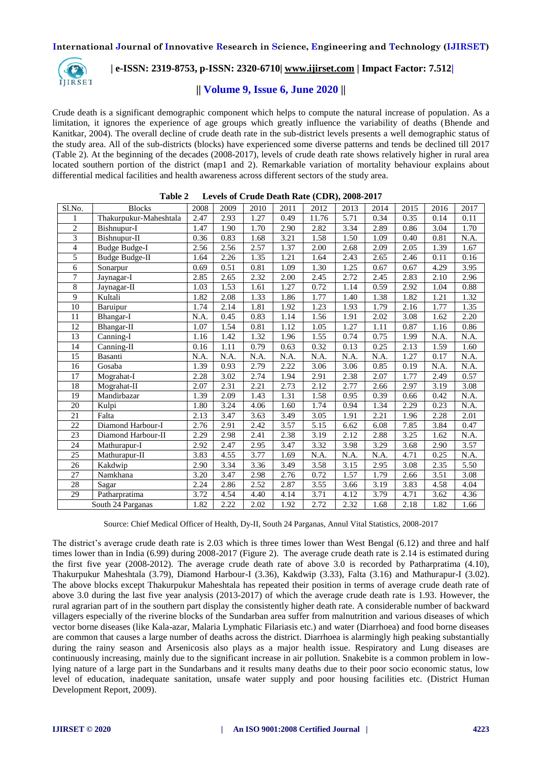

# **| e-ISSN: 2319-8753, p-ISSN: 2320-6710| [www.ijirset.com](http://www.ijirset.com/) | Impact Factor: 7.512|**

# **|| Volume 9, Issue 6, June 2020 ||**

Crude death is a significant demographic component which helps to compute the natural increase of population. As a limitation, it ignores the experience of age groups which greatly influence the variability of deaths (Bhende and Kanitkar, 2004). The overall decline of crude death rate in the sub-district levels presents a well demographic status of the study area. All of the sub-districts (blocks) have experienced some diverse patterns and tends be declined till 2017 (Table 2). At the beginning of the decades (2008-2017), levels of crude death rate shows relatively higher in rural area located southern portion of the district (map1 and 2). Remarkable variation of mortality behaviour explains about differential medical facilities and health awareness across different sectors of the study area.

| Sl.No.          | <b>Blocks</b>          | 2008 | 2009 | 2010 | 2011 | 2012  | 2013 | 2014 | 2015 | 2016 | 2017     |
|-----------------|------------------------|------|------|------|------|-------|------|------|------|------|----------|
| 1               | Thakurpukur-Maheshtala | 2.47 | 2.93 | 1.27 | 0.49 | 11.76 | 5.71 | 0.34 | 0.35 | 0.14 | 0.11     |
| $\mathbf{2}$    | Bishnupur-I            | 1.47 | 1.90 | 1.70 | 2.90 | 2.82  | 3.34 | 2.89 | 0.86 | 3.04 | 1.70     |
| 3               | Bishnupur-II           | 0.36 | 0.83 | 1.68 | 3.21 | 1.58  | 1.50 | 1.09 | 0.40 | 0.81 | N.A.     |
| 4               | <b>Budge Budge-I</b>   | 2.56 | 2.56 | 2.57 | 1.37 | 2.00  | 2.68 | 2.09 | 2.05 | 1.39 | 1.67     |
| 5               | <b>Budge Budge-II</b>  | 1.64 | 2.26 | 1.35 | 1.21 | 1.64  | 2.43 | 2.65 | 2.46 | 0.11 | 0.16     |
| 6               | Sonarpur               | 0.69 | 0.51 | 0.81 | 1.09 | 1.30  | 1.25 | 0.67 | 0.67 | 4.29 | 3.95     |
| 7               | Jaynagar-I             | 2.85 | 2.65 | 2.32 | 2.00 | 2.45  | 2.72 | 2.45 | 2.83 | 2.10 | 2.96     |
| 8               | Jaynagar-II            | 1.03 | 1.53 | 1.61 | 1.27 | 0.72  | 1.14 | 0.59 | 2.92 | 1.04 | $0.88\,$ |
| 9               | Kultali                | 1.82 | 2.08 | 1.33 | 1.86 | 1.77  | 1.40 | 1.38 | 1.82 | 1.21 | 1.32     |
| 10              | Baruipur               | 1.74 | 2.14 | 1.81 | 1.92 | 1.23  | 1.93 | 1.79 | 2.16 | 1.77 | 1.35     |
| 11              | Bhangar-I              | N.A. | 0.45 | 0.83 | 1.14 | 1.56  | 1.91 | 2.02 | 3.08 | 1.62 | 2.20     |
| 12              | Bhangar-II             | 1.07 | 1.54 | 0.81 | 1.12 | 1.05  | 1.27 | 1.11 | 0.87 | 1.16 | 0.86     |
| $\overline{13}$ | Canning-I              | 1.16 | 1.42 | 1.32 | 1.96 | 1.55  | 0.74 | 0.75 | 1.99 | N.A. | N.A.     |
| 14              | Canning-II             | 0.16 | 1.11 | 0.79 | 0.63 | 0.32  | 0.13 | 0.25 | 2.13 | 1.59 | 1.60     |
| 15              | Basanti                | N.A. | N.A. | N.A. | N.A. | N.A.  | N.A. | N.A. | 1.27 | 0.17 | N.A.     |
| 16              | Gosaba                 | 1.39 | 0.93 | 2.79 | 2.22 | 3.06  | 3.06 | 0.85 | 0.19 | N.A. | N.A.     |
| 17              | Mograhat-I             | 2.28 | 3.02 | 2.74 | 1.94 | 2.91  | 2.38 | 2.07 | 1.77 | 2.49 | 0.57     |
| 18              | Mograhat-II            | 2.07 | 2.31 | 2.21 | 2.73 | 2.12  | 2.77 | 2.66 | 2.97 | 3.19 | 3.08     |
| 19              | Mandirbazar            | 1.39 | 2.09 | 1.43 | 1.31 | 1.58  | 0.95 | 0.39 | 0.66 | 0.42 | N.A.     |
| 20              | Kulpi                  | 1.80 | 3.24 | 4.06 | 1.60 | 1.74  | 0.94 | 1.34 | 2.29 | 0.23 | N.A.     |
| 21              | Falta                  | 2.13 | 3.47 | 3.63 | 3.49 | 3.05  | 1.91 | 2.21 | 1.96 | 2.28 | 2.01     |
| 22              | Diamond Harbour-I      | 2.76 | 2.91 | 2.42 | 3.57 | 5.15  | 6.62 | 6.08 | 7.85 | 3.84 | 0.47     |
| 23              | Diamond Harbour-II     | 2.29 | 2.98 | 2.41 | 2.38 | 3.19  | 2.12 | 2.88 | 3.25 | 1.62 | N.A.     |
| 24              | Mathurapur-I           | 2.92 | 2.47 | 2.95 | 3.47 | 3.32  | 3.98 | 3.29 | 3.68 | 2.90 | 3.57     |
| 25              | Mathurapur-II          | 3.83 | 4.55 | 3.77 | 1.69 | N.A.  | N.A. | N.A. | 4.71 | 0.25 | N.A.     |
| 26              | Kakdwip                | 2.90 | 3.34 | 3.36 | 3.49 | 3.58  | 3.15 | 2.95 | 3.08 | 2.35 | 5.50     |
| $\overline{27}$ | Namkhana               | 3.20 | 3.47 | 2.98 | 2.76 | 0.72  | 1.57 | 1.79 | 2.66 | 3.51 | 3.08     |
| 28              | Sagar                  | 2.24 | 2.86 | 2.52 | 2.87 | 3.55  | 3.66 | 3.19 | 3.83 | 4.58 | 4.04     |
| 29              | Patharpratima          | 3.72 | 4.54 | 4.40 | 4.14 | 3.71  | 4.12 | 3.79 | 4.71 | 3.62 | 4.36     |
|                 | South 24 Parganas      | 1.82 | 2.22 | 2.02 | 1.92 | 2.72  | 2.32 | 1.68 | 2.18 | 1.82 | 1.66     |

| Table 2 | Levels of Crude Death Rate (CDR), 2008-2017 |  |  |
|---------|---------------------------------------------|--|--|
|---------|---------------------------------------------|--|--|

Source: Chief Medical Officer of Health, Dy-II, South 24 Parganas, Annul Vital Statistics, 2008-2017

The district's average crude death rate is 2.03 which is three times lower than West Bengal (6.12) and three and half times lower than in India (6.99) during 2008-2017 (Figure 2). The average crude death rate is 2.14 is estimated during the first five year (2008-2012). The average crude death rate of above 3.0 is recorded by Patharpratima (4.10), Thakurpukur Maheshtala (3.79), Diamond Harbour-I (3.36), Kakdwip (3.33), Falta (3.16) and Mathurapur-I (3.02). The above blocks except Thakurpukur Maheshtala has repeated their position in terms of average crude death rate of above 3.0 during the last five year analysis (2013-2017) of which the average crude death rate is 1.93. However, the rural agrarian part of in the southern part display the consistently higher death rate. A considerable number of backward villagers especially of the riverine blocks of the Sundarban area suffer from malnutrition and various diseases of which vector borne diseases (like Kala-azar, Malaria Lymphatic Filariasis etc.) and water (Diarrhoea) and food borne diseases are common that causes a large number of deaths across the district. Diarrhoea is alarmingly high peaking substantially during the rainy season and Arsenicosis also plays as a major health issue. Respiratory and Lung diseases are continuously increasing, mainly due to the significant increase in air pollution. Snakebite is a common problem in lowlying nature of a large part in the Sundarbans and it results many deaths due to their poor socio economic status, low level of education, inadequate sanitation, unsafe water supply and poor housing facilities etc. (District Human Development Report, 2009).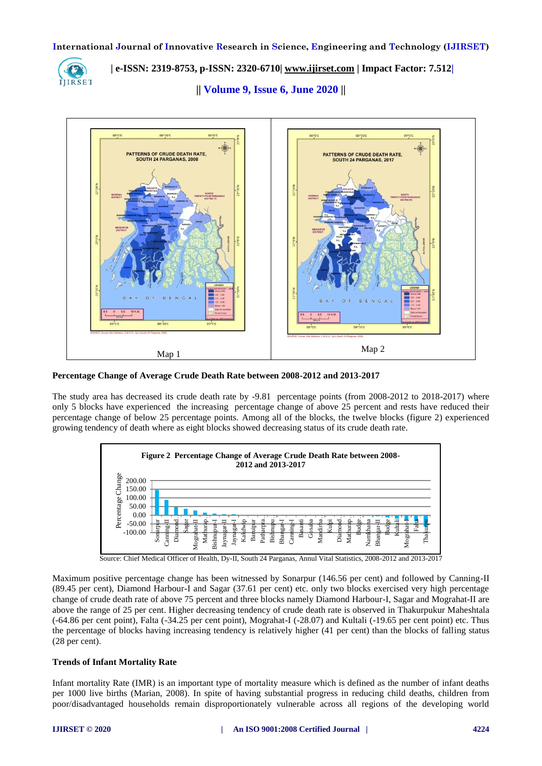

 **| e-ISSN: 2319-8753, p-ISSN: 2320-6710| [www.ijirset.com](http://www.ijirset.com/) | Impact Factor: 7.512|**

**|| Volume 9, Issue 6, June 2020 ||** 



**Percentage Change of Average Crude Death Rate between 2008-2012 and 2013-2017**

The study area has decreased its crude death rate by -9.81 percentage points (from 2008-2012 to 2018-2017) where only 5 blocks have experienced the increasing percentage change of above 25 percent and rests have reduced their percentage change of below 25 percentage points. Among all of the blocks, the twelve blocks (figure 2) experienced growing tendency of death where as eight blocks showed decreasing status of its crude death rate.



Source: Chief Medical Officer of Health, Dy-II, South 24 Parganas, Annul Vital Statistics, 2008-2012 and 2013-2017

Maximum positive percentage change has been witnessed by Sonarpur (146.56 per cent) and followed by Canning-II (89.45 per cent), Diamond Harbour-I and Sagar (37.61 per cent) etc. only two blocks exercised very high percentage change of crude death rate of above 75 percent and three blocks namely Diamond Harbour-I, Sagar and Mograhat-II are above the range of 25 per cent. Higher decreasing tendency of crude death rate is observed in Thakurpukur Maheshtala (-64.86 per cent point), Falta (-34.25 per cent point), Mograhat-I (-28.07) and Kultali (-19.65 per cent point) etc. Thus the percentage of blocks having increasing tendency is relatively higher (41 per cent) than the blocks of falling status (28 per cent).

# **Trends of Infant Mortality Rate**

Infant mortality Rate (IMR) is an important type of mortality measure which is defined as the number of infant deaths per 1000 live births (Marian, 2008). In spite of having substantial progress in reducing child deaths, children from poor/disadvantaged households remain disproportionately vulnerable across all regions of the developing world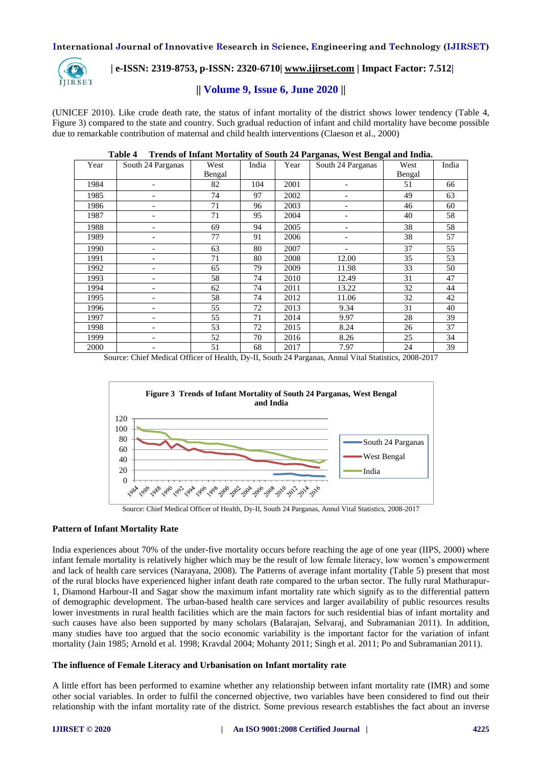

# **| e-ISSN: 2319-8753, p-ISSN: 2320-6710| [www.ijirset.com](http://www.ijirset.com/) | Impact Factor: 7.512|**

# **|| Volume 9, Issue 6, June 2020 ||**

(UNICEF 2010). Like crude death rate, the status of infant mortality of the district shows lower tendency (Table 4, Figure 3) compared to the state and country. Such gradual reduction of infant and child mortality have become possible due to remarkable contribution of maternal and child health interventions (Claeson et al., 2000)

| Year | South 24 Parganas | West   | India | Year | South 24 Parganas | West   | India |
|------|-------------------|--------|-------|------|-------------------|--------|-------|
|      |                   | Bengal |       |      |                   | Bengal |       |
| 1984 |                   | 82     | 104   | 2001 |                   | 51     | 66    |
| 1985 |                   | 74     | 97    | 2002 |                   | 49     | 63    |
| 1986 |                   | 71     | 96    | 2003 | -                 | 46     | 60    |
| 1987 |                   | 71     | 95    | 2004 | -                 | 40     | 58    |
| 1988 |                   | 69     | 94    | 2005 | ۰                 | 38     | 58    |
| 1989 |                   | 77     | 91    | 2006 |                   | 38     | 57    |
| 1990 |                   | 63     | 80    | 2007 | -                 | 37     | 55    |
| 1991 |                   | 71     | 80    | 2008 | 12.00             | 35     | 53    |
| 1992 |                   | 65     | 79    | 2009 | 11.98             | 33     | 50    |
| 1993 |                   | 58     | 74    | 2010 | 12.49             | 31     | 47    |
| 1994 |                   | 62     | 74    | 2011 | 13.22             | 32     | 44    |
| 1995 |                   | 58     | 74    | 2012 | 11.06             | 32     | 42    |
| 1996 |                   | 55     | 72    | 2013 | 9.34              | 31     | 40    |
| 1997 |                   | 55     | 71    | 2014 | 9.97              | 28     | 39    |
| 1998 |                   | 53     | 72    | 2015 | 8.24              | 26     | 37    |
| 1999 |                   | 52     | 70    | 2016 | 8.26              | 25     | 34    |
| 2000 |                   | 51     | 68    | 2017 | 7.97              | 24     | 39    |

### **Table 4 Trends of Infant Mortality of South 24 Parganas, West Bengal and India.**

Source: Chief Medical Officer of Health, Dy-II, South 24 Parganas, Annul Vital Statistics, 2008-2017



Source: Chief Medical Officer of Health, Dy-II, South 24 Parganas, Annul Vital Statistics, 2008-2017

#### **Pattern of Infant Mortality Rate**

India experiences about 70% of the under-five mortality occurs before reaching the age of one year (IIPS, 2000) where infant female mortality is relatively higher which may be the result of low female literacy, low women's empowerment and lack of health care services (Narayana, 2008). The Patterns of average infant mortality (Table 5) present that most of the rural blocks have experienced higher infant death rate compared to the urban sector. The fully rural Mathurapur-1, Diamond Harbour-II and Sagar show the maximum infant mortality rate which signify as to the differential pattern of demographic development. The urban-based health care services and larger availability of public resources results lower investments in rural health facilities which are the main factors for such residential bias of infant mortality and such causes have also been supported by many scholars (Balarajan, Selvaraj, and Subramanian 2011). In addition, many studies have too argued that the socio economic variability is the important factor for the variation of infant mortality (Jain 1985; Arnold et al. 1998; Kravdal 2004; Mohanty 2011; Singh et al. 2011; Po and Subramanian 2011).

#### **The influence of Female Literacy and Urbanisation on Infant mortality rate**

A little effort has been performed to examine whether any relationship between infant mortality rate (IMR) and some other social variables. In order to fulfil the concerned objective, two variables have been considered to find out their relationship with the infant mortality rate of the district. Some previous research establishes the fact about an inverse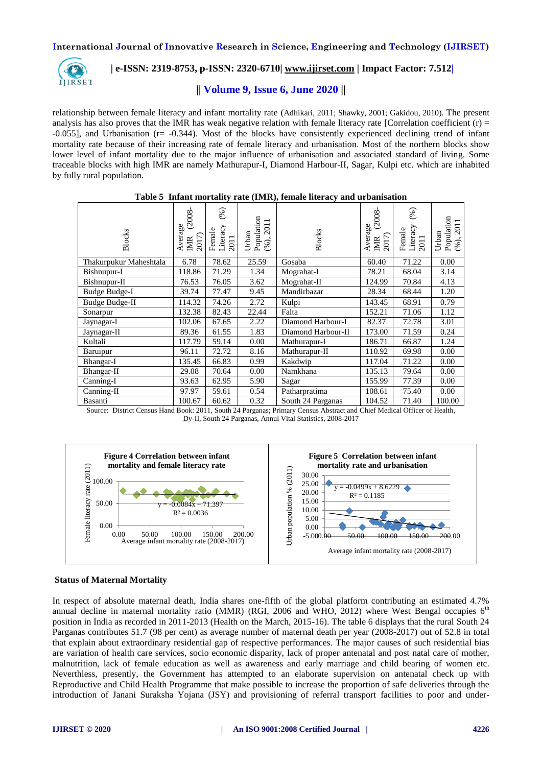

# **| e-ISSN: 2319-8753, p-ISSN: 2320-6710| [www.ijirset.com](http://www.ijirset.com/) | Impact Factor: 7.512|**

# **|| Volume 9, Issue 6, June 2020 ||**

relationship between female literacy and infant mortality rate (Adhikari, 2011; Shawky, 2001; Gakidou, 2010). The present analysis has also proves that the IMR has weak negative relation with female literacy rate [Correlation coefficient  $(r)$  = -0.055], and Urbanisation (r= -0.344). Most of the blocks have consistently experienced declining trend of infant mortality rate because of their increasing rate of female literacy and urbanisation. Most of the northern blocks show lower level of infant mortality due to the major influence of urbanisation and associated standard of living. Some traceable blocks with high IMR are namely Mathurapur-I, Diamond Harbour-II, Sagar, Kulpi etc. which are inhabited by fully rural population.

| Blocks                   | Average<br>m (2008-<br>$\frac{MR}{2017}$ | (%)<br>Literacy<br>Female<br>2011 | Population<br>$(*6), 2011$<br>Urban | <b>Blocks</b>      | $\overline{\text{Average}}$ $\overline{\text{m}}$ (2008-<br>IMR<br>2017) | $(\%)$<br>$\frac{Literacy}{2011}$<br>Female | Population<br>2011<br>Urban<br>$(\%)$ . |
|--------------------------|------------------------------------------|-----------------------------------|-------------------------------------|--------------------|--------------------------------------------------------------------------|---------------------------------------------|-----------------------------------------|
| Thakurpukur Maheshtala   | 6.78                                     | 78.62                             | 25.59                               | Gosaba             | 60.40                                                                    | 71.22                                       | 0.00                                    |
| Bishnupur-I              | 118.86                                   | 71.29                             | 1.34                                | Mograhat-I         | 78.21                                                                    | 68.04                                       | 3.14                                    |
| Bishnupur-II             | 76.53                                    | 76.05                             | 3.62                                | Mograhat-II        | 124.99                                                                   | 70.84                                       | 4.13                                    |
| Budge Budge-I            | 39.74                                    | 77.47                             | 9.45                                | Mandirbazar        | 28.34                                                                    | 68.44                                       | 1.20                                    |
| <b>Budge Budge-II</b>    | 114.32                                   | 74.26                             | 2.72                                | Kulpi              | 143.45                                                                   | 68.91                                       | 0.79                                    |
| Sonarpur                 | 132.38                                   | 82.43                             | 22.44                               | Falta              | 152.21                                                                   | 71.06                                       | 1.12                                    |
| Jaynagar-I               | 102.06                                   | 67.65                             | 2.22                                | Diamond Harbour-I  | 82.37                                                                    | 72.78                                       | 3.01                                    |
| Jaynagar-II              | 89.36                                    | 61.55                             | 1.83                                | Diamond Harbour-II | 173.00                                                                   | 71.59                                       | 0.24                                    |
| Kultali                  | 117.79                                   | 59.14                             | 0.00                                | Mathurapur-I       | 186.71                                                                   | 66.87                                       | 1.24                                    |
| Baruipur                 | 96.11                                    | 72.72                             | 8.16                                | Mathurapur-II      | 110.92                                                                   | 69.98                                       | 0.00                                    |
| Bhangar-I                | 135.45                                   | 66.83                             | 0.99                                | Kakdwip            | 117.04                                                                   | 71.22                                       | 0.00                                    |
| Bhangar-II               | 29.08                                    | 70.64                             | 0.00                                | Namkhana           | 135.13                                                                   | 79.64                                       | 0.00                                    |
| Canning-I                | 93.63                                    | 62.95                             | 5.90                                | Sagar              | 155.99                                                                   | 77.39                                       | 0.00                                    |
| $\overline{C}$ anning-II | 97.97                                    | 59.61                             | 0.54                                | Patharpratima      | 108.61                                                                   | 75.40                                       | 0.00                                    |
| Basanti                  | 100.67                                   | 60.62                             | 0.32                                | South 24 Parganas  | 104.52                                                                   | 71.40                                       | 100.00                                  |

#### **Table 5 Infant mortality rate (IMR), female literacy and urbanisation**

Source: District Census Hand Book: 2011, South 24 Parganas; Primary Census Abstract and Chief Medical Officer of Health, Dy-II, South 24 Parganas, Annul Vital Statistics, 2008-2017





#### **Status of Maternal Mortality**

In respect of absolute maternal death, India shares one-fifth of the global platform contributing an estimated 4.7% annual decline in maternal mortality ratio (MMR) (RGI, 2006 and WHO, 2012) where West Bengal occupies 6<sup>th</sup> position in India as recorded in 2011-2013 (Health on the March, 2015-16). The table 6 displays that the rural South 24 Parganas contributes 51.7 (98 per cent) as average number of maternal death per year (2008-2017) out of 52.8 in total that explain about extraordinary residential gap of respective performances. The major causes of such residential bias are variation of health care services, socio economic disparity, lack of proper antenatal and post natal care of mother, malnutrition, lack of female education as well as awareness and early marriage and child bearing of women etc. Neverthless, presently, the Government has attempted to an elaborate supervision on antenatal check up with Reproductive and Child Health Programme that make possible to increase the proportion of safe deliveries through the introduction of Janani Suraksha Yojana (JSY) and provisioning of referral transport facilities to poor and under-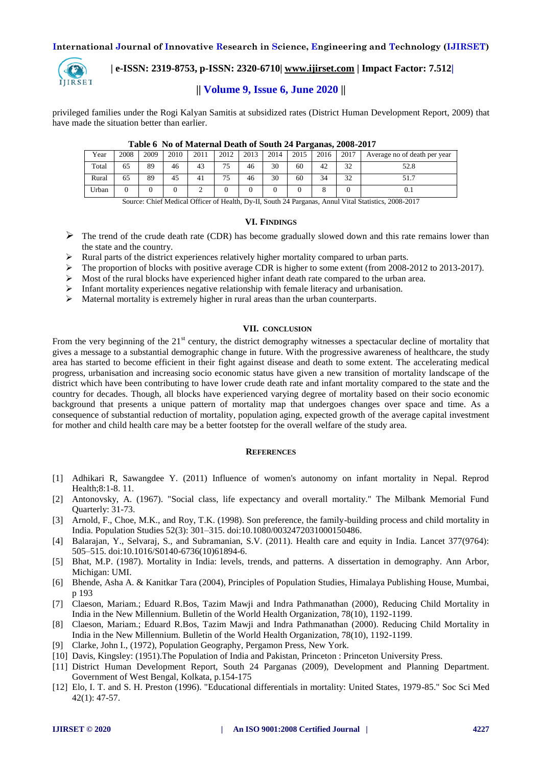

# **| e-ISSN: 2319-8753, p-ISSN: 2320-6710| [www.ijirset.com](http://www.ijirset.com/) | Impact Factor: 7.512|**

# **|| Volume 9, Issue 6, June 2020 ||**

privileged families under the Rogi Kalyan Samitis at subsidized rates (District Human Development Report, 2009) that have made the situation better than earlier.

|       | Tuble of the or material beath of bound and allegingly above and |      |      |      |      |      |      |      |      |      |                              |
|-------|------------------------------------------------------------------|------|------|------|------|------|------|------|------|------|------------------------------|
| Year  | 2008                                                             | 2009 | 2010 | 2011 | 2012 | 2013 | 2014 | 2015 | 2016 | 2017 | Average no of death per year |
| Total | 65                                                               | 89   | 46   | 43   | 75   | 46   | 30   | 60   | 42   | 32   | 52.8                         |
| Rural | 65                                                               | 89   | 45   | 41   | 75   | 46   | 30   | 60   | 34   | 32   | 51.7                         |
| Urban |                                                                  |      |      |      |      |      |      |      |      |      |                              |

#### **Table 6 No of Maternal Death of South 24 Parganas, 2008-2017**

Source: Chief Medical Officer of Health, Dy-II, South 24 Parganas, Annul Vital Statistics, 2008-2017

#### **VI. FINDINGS**

- $\triangleright$  The trend of the crude death rate (CDR) has become gradually slowed down and this rate remains lower than the state and the country.
- Rural parts of the district experiences relatively higher mortality compared to urban parts.
- $\triangleright$  The proportion of blocks with positive average CDR is higher to some extent (from 2008-2012 to 2013-2017).
- $\triangleright$  Most of the rural blocks have experienced higher infant death rate compared to the urban area.
- $\triangleright$  Infant mortality experiences negative relationship with female literacy and urbanisation.
- $\triangleright$  Maternal mortality is extremely higher in rural areas than the urban counterparts.

#### **VII. CONCLUSION**

From the very beginning of the  $21<sup>st</sup>$  century, the district demography witnesses a spectacular decline of mortality that gives a message to a substantial demographic change in future. With the progressive awareness of healthcare, the study area has started to become efficient in their fight against disease and death to some extent. The accelerating medical progress, urbanisation and increasing socio economic status have given a new transition of mortality landscape of the district which have been contributing to have lower crude death rate and infant mortality compared to the state and the country for decades. Though, all blocks have experienced varying degree of mortality based on their socio economic background that presents a unique pattern of mortality map that undergoes changes over space and time. As a consequence of substantial reduction of mortality, population aging, expected growth of the average capital investment for mother and child health care may be a better footstep for the overall welfare of the study area.

#### **REFERENCES**

- [1] Adhikari R, Sawangdee Y. (2011) Influence of women's autonomy on infant mortality in Nepal. Reprod Health;8:1-8. 11.
- [2] Antonovsky, A. (1967). "Social class, life expectancy and overall mortality." The Milbank Memorial Fund Quarterly: 31-73.
- [3] Arnold, F., Choe, M.K., and Roy, T.K. (1998). Son preference, the family-building process and child mortality in India. Population Studies 52(3): 301–315. doi:10.1080/0032472031000150486.
- [4] Balarajan, Y., Selvaraj, S., and Subramanian, S.V. (2011). Health care and equity in India. Lancet 377(9764): 505–515. doi:10.1016/S0140-6736(10)61894-6.
- [5] Bhat, M.P. (1987). Mortality in India: levels, trends, and patterns. A dissertation in demography. Ann Arbor, Michigan: UMI.
- [6] Bhende, Asha A. & Kanitkar Tara (2004), Principles of Population Studies, Himalaya Publishing House, Mumbai, p 193
- [7] Claeson, Mariam.; Eduard R.Bos, Tazim Mawji and Indra Pathmanathan (2000), Reducing Child Mortality in India in the New Millennium. Bulletin of the World Health Organization, 78(10), 1192-1199.
- [8] Claeson, Mariam.; Eduard R.Bos, Tazim Mawji and Indra Pathmanathan (2000). Reducing Child Mortality in India in the New Millennium. Bulletin of the World Health Organization, 78(10), 1192-1199.
- [9] Clarke, John I., (1972), Population Geography, Pergamon Press, New York.
- [10] Davis, Kingsley: (1951).The Population of India and Pakistan, Princeton : Princeton University Press.
- [11] District Human Development Report, South 24 Parganas (2009), Development and Planning Department. Government of West Bengal, Kolkata, p.154-175
- [12] Elo, I. T. and S. H. Preston (1996). "Educational differentials in mortality: United States, 1979-85." Soc Sci Med 42(1): 47-57.